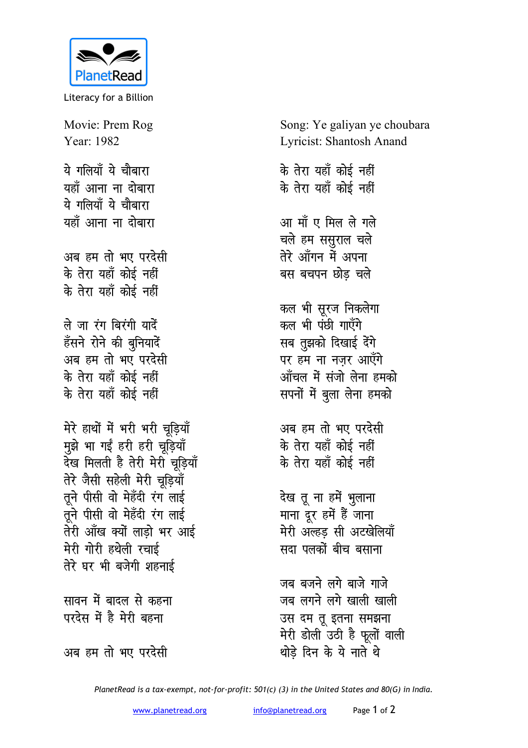

Literacy for a Billion

Movie: Prem Rog Year: 1982

ये गलियाँ ये चौबारा यहाँ आना ना दोबारा ये गलियाँ ये चौबारा यहाँ आना ना दोबारा

अब हम तो भए परदेसी के तेरा यहाँ कोई नहीं के तेरा यहाँ कोई नहीं

ले जा रंग बिरंगी यादें हँसने रोने की बुनियादें अब हम तो भए परदेसी के तेरा यहाँ कोई नहीं के तेरा यहाँ कोई नहीं

मेरे हाथों में भरी भरी चडियाँ मुझे भा गईं हरी हरी चूड़ियाँ देख मिलती है तेरी मेरी चूड़ियाँ तेरे जैसी सहेली मेरी चूड़ियाँ तूने पीसी वो मेहँदी रंग लाई तूने पीसी वो मेहँदी रंग लाई तेरी आँख क्यों लाडो भर आई मेरी गोरी हथेली रचाई तेरे घर भी बजेगी शहनाई

सावन में बादल से कहना परदेस में है मेरी बहना

अब हम तो भए परदेसी

Song: Ye galiyan ye choubara **Lyricist: Shantosh Anand** 

के तेरा यहाँ कोई नहीं के तेरा यहाँ कोई नहीं आ माँ ए मिल ले गले चले हम ससुराल चले तेरे आँगन में अपना बस बचपन छोड चले

कल भी सूरज निकलेगा कल भी पंछी गाएँगे सब तुझको दिखाई देंगे पर हम ना नजर आएँगे आँचल में संजो लेना हमको सपनों में बुला लेना हमको

अब हम तो भए परदेसी के तेरा यहाँ कोई नहीं के तेरा यहाँ कोई नहीं

देख तू ना हमें भुलाना माना दूर हमें हैं जाना मेरी अल्हड सी अटखेलियाँ सदा पलकों बीच बसाना

जब बजने लगे बाजे गाजे जब लगने लगे खाली खाली उस दम तू इतना समझना मेरी डोली उठी है फूलों वाली थोडे दिन के ये नाते थे

PlanetRead is a tax-exempt, not-for-profit: 501(c) (3) in the United States and 80(G) in India.